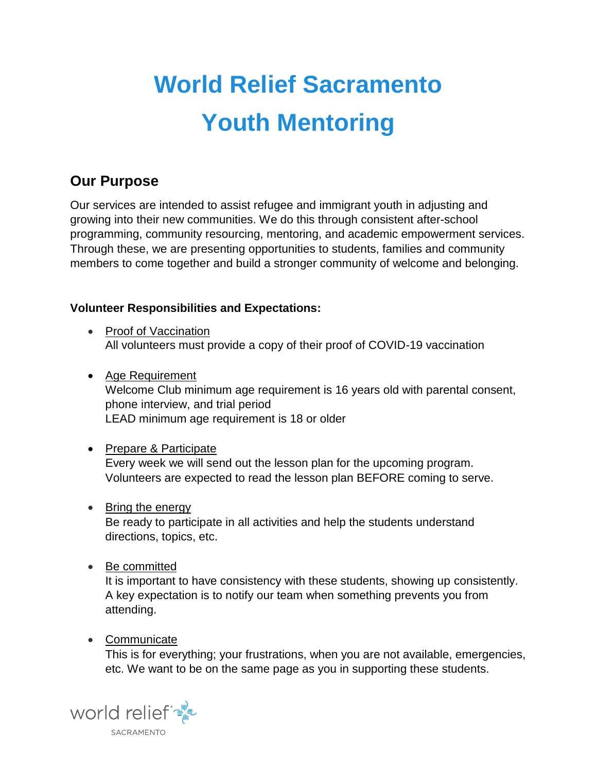# World Relief Sacramento Youth Mentoring

## Our Purpose

Our services are intended to assist refugee and immigrant youth in adjusting and growing into their new communities. We do this through consistent after-school programming, community resourcing, mentoring, and academic empowerment services. Through these, we are presenting opportunities to students, families and community members to come together and build a stronger community of welcome and belonging.

Volunteer Responsibilities and Expectations:

- Proof of Vaccination All volunteers must provide a copy of their proof of COVID-19 vaccination
- Age Requirement Welcome Club minimum age requirement is 16 years old with parental consent, phone interview, and trial period LEAD minimum age requirement is 18 or older
- Prepare & Participate Every week we will send out the lesson plan for the upcoming program. Volunteers are expected to read the lesson plan BEFORE coming to serve.
- Bring the energy

Be ready to participate in all activities and help the students understand directions, topics, etc.

• Be committed

It is important to have consistency with these students, showing up consistently. A key expectation is to notify our team when something prevents you from attending.

• Communicate

This is for everything; your frustrations, when you are not available, emergencies, etc. We want to be on the same page as you in supporting these students.

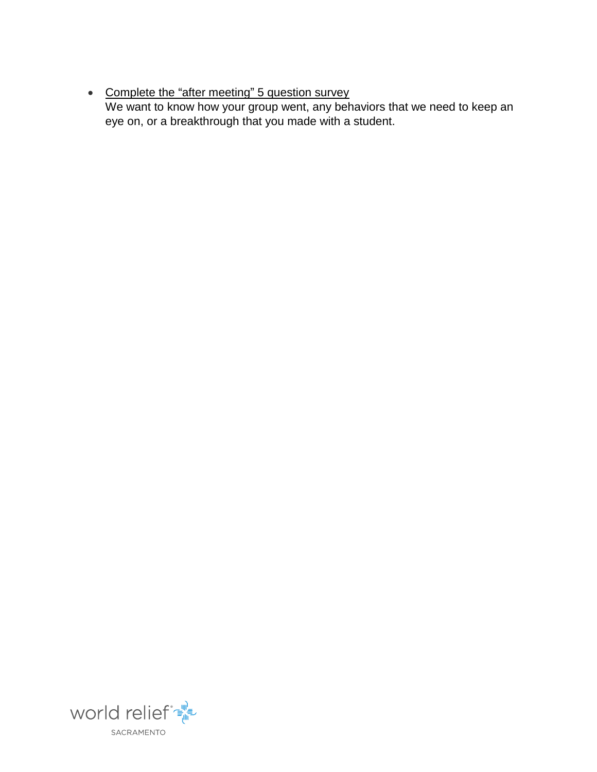#### • Complete the "after meeting" 5 question survey We want to know how your group went, any behaviors that we need to keep an eye on, or a breakthrough that you made with a student.

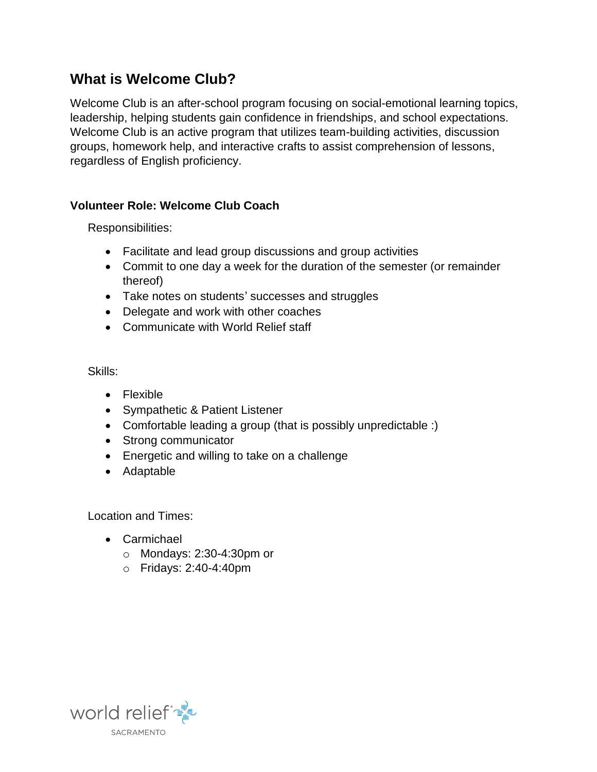## What is Welcome Club?

Welcome Club is an after-school program focusing on social-emotional learning topics, leadership, helping students gain confidence in friendships, and school expectations. Welcome Club is an active program that utilizes team-building activities, discussion groups, homework help, and interactive crafts to assist comprehension of lessons, regardless of English proficiency.

Volunteer Role: Welcome Club Coach

Responsibilities:

- Facilitate and lead group discussions and group activities
- Commit to one day a week for the duration of the semester (or remainder thereof)
- Take notes on students' successes and struggles
- Delegate and work with other coaches
- Communicate with World Relief staff

Skills:

- Flexible
- Sympathetic & Patient Listener
- Comfortable leading a group (that is possibly unpredictable :)
- Strong communicator
- Energetic and willing to take on a challenge
- Adaptable

Location and Times:

- Carmichael
	- o Mondays: 2:30-4:30pm or
	- o Fridays: 2:40-4:40pm